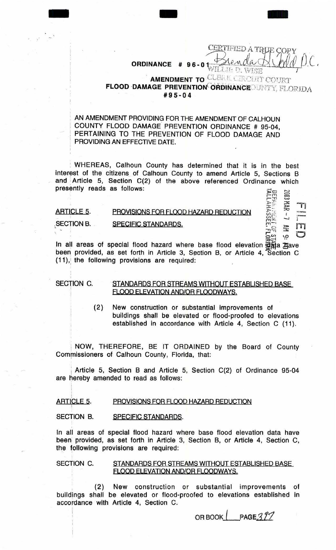WILLED. WISE **AMENDMENT TO CLEAK CERCUIT COURT FLOOD DAMAGE PREVENTION ORDINANCE DINTY, FLORIDA**  $#95 - 04$ 

96

CERTIFIED A TRUE COPY

 $\cdot$   $\mathbf{H}$ <br>in  $\mathbf{H}$ 

 $\sum_{\alpha\in\mathcal{K}}$  $m \leqslant 1$  $\frac{m}{2}$  =  $\frac{m}{2}$ 

' AN AMENDMENT PROVIDING FOR THE AMENDMENT OF CALHOUN ! COUNTY FLOOD DAMAGE PREVENTION ORDINANCE # 95-04, PERTAINING TO THE PREVENTION OF FLOOD DAMAGE AND PROVIDING AN EFFECTIVE DATE.

- - -

**ORDINANCE** 

: WHEREAS, Calhoun County has determined that it is in the best interest of the citizens of Calhoun County to amend Article 5, Sections B and Article 5, Section C(2) of the above referenced Ordinance which presently reads as follows:  $\Xi$ 

## ARTICLE 5. SECTION B. PROVISIONS FOR FLOOD HAZARD REDUCTION SPECIFIC STANDARDS.

مبر<br>مبر<br>الم In all areas of special flood hazard where base flood elevation  $\widetilde{\mathbb{G}}$  at  $\mathbb{A}$ ave been provided, as set forth in Article 3, Section B, or Article 4, Section C  $(11)$ , the following provisions are required:

## SECTION C.

I I

## STANDARDS FOR STREAMS WITHOUT ESTABLISHED BASE FLOOD ELEVATION AND/OR FLOODWAYS.

(2) New construction or substantial improvements of buildings shall be elevated or flood-proofed to elevations established in accordance with Article 4, Section C (11).

NOW, THEREFORE, BE IT ORDAINED by the Board of County Commissioners of Calhoun County, Florida, that:

Article 5, Section B and Article 5, Section C(2) of Ordinance 95-04 are hereby amended to read as follows:

## **ARTICLE 5.** PROVISIONS FOR FLOOD HAZARD REDUCTION

SECTION B. SPECIFIC STANDARDS.

In all areas of special flood hazard where base flood elevation data have been. provided, as set forth in Article 3, Section B, or Article 4, Section C, the following provisions are required:

SECTION C. STANDARDS FOR STREAMS WITHOUT ESTABLISHED BASE FLOOD ELEVATION AND/OR FLOODWAYS.

. (2) New construction or substantial improvements of bulldjngs shall be elevated or flood-proofed to elevations established in accordance with Article 4, Section C.

OR BOOK  $\left\lfloor \frac{\text{PAGE}}{3} \frac{377}{2} \right\rfloor$